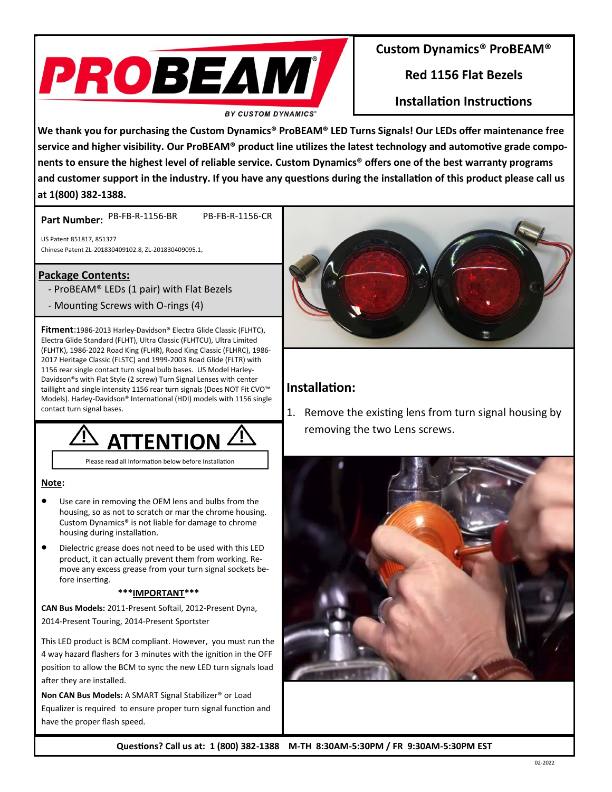

### **Custom Dynamics® ProBEAM®**

**Red 1156 Flat Bezels**

**Installation Instructions**

**We thank you for purchasing the Custom Dynamics® ProBEAM® LED Turns Signals! Our LEDs offer maintenance free service and higher visibility. Our ProBEAM® product line utilizes the latest technology and automotive grade components to ensure the highest level of reliable service. Custom Dynamics® offers one of the best warranty programs and customer support in the industry. If you have any questions during the installation of this product please call us at 1(800) 382-1388.**

Part Number: PB-FB-R-1156-BR PB-FB-R-1156-CR

US Patent 851817, 851327 Chinese Patent ZL-201830409102.8, ZL-201830409095.1,

## **Package Contents:**

- ProBEAM® LEDs (1 pair) with Flat Bezels
- Mounting Screws with O-rings (4)

**Fitment**:1986-2013 Harley-Davidson® Electra Glide Classic (FLHTC), Electra Glide Standard (FLHT), Ultra Classic (FLHTCU), Ultra Limited (FLHTK), 1986-2022 Road King (FLHR), Road King Classic (FLHRC), 1986- 2017 Heritage Classic (FLSTC) and 1999-2003 Road Glide (FLTR) with 1156 rear single contact turn signal bulb bases. US Model Harley-Davidson®s with [Flat Style](https://www.customdynamics.com/flat-style-turn-signal-lenses-for-leds?cat=576) (2 screw) Turn Signal Lenses with [center](https://www.customdynamics.com/category/led-taillights-brake-lights/complete-led-taillight-units)  [taillight](https://www.customdynamics.com/category/led-taillights-brake-lights/complete-led-taillight-units) and single intensity 1156 rear turn signals (Does NOT Fit CVO™ Models). Harley-Davidson® International (HDI) models with 1156 single contact turn signal bases.



Please read all Information below before Installation

#### **Note:**

- Use care in removing the OEM lens and bulbs from the housing, so as not to scratch or mar the chrome housing. Custom Dynamics® is not liable for damage to chrome housing during installation.
- Dielectric grease does not need to be used with this LED product, it can actually prevent them from working. Remove any excess grease from your turn signal sockets before inserting.

#### **\*\*\*IMPORTANT\*\*\***

**CAN Bus Models:** 2011-Present Softail, 2012-Present Dyna, 2014-Present Touring, 2014-Present Sportster

This LED product is BCM compliant. However, you must run the 4 way hazard flashers for 3 minutes with the ignition in the OFF position to allow the BCM to sync the new LED turn signals load after they are installed.

**Non CAN Bus Models:** A SMART Signal Stabilizer® or Load Equalizer is required to ensure proper turn signal function and have the proper flash speed.



## **Installation:**

1. Remove the existing lens from turn signal housing by removing the two Lens screws.



**Questions? Call us at: 1 (800) 382-1388 M-TH 8:30AM-5:30PM / FR 9:30AM-5:30PM EST**